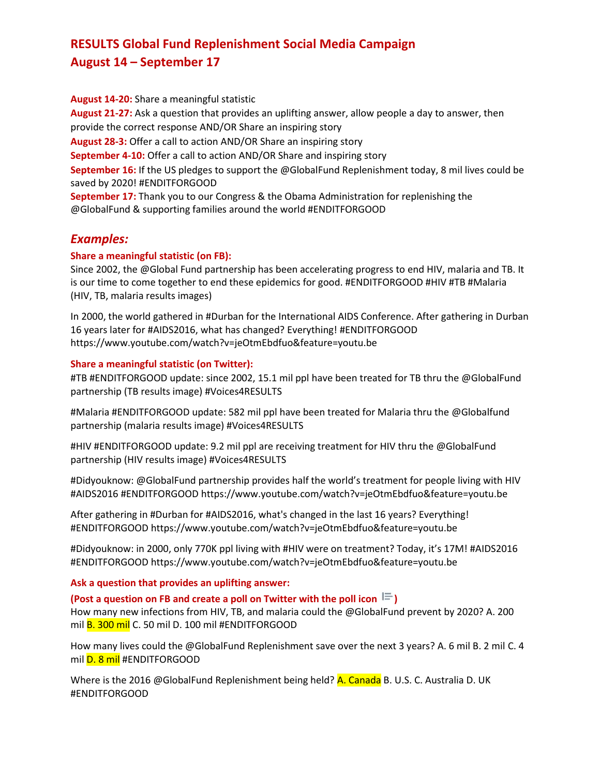# **RESULTS Global Fund Replenishment Social Media Campaign August 14 – September 17**

**August 14-20:** Share a meaningful statistic **August 21-27:** Ask a question that provides an uplifting answer, allow people a day to answer, then provide the correct response AND/OR Share an inspiring story **August 28-3:** Offer a call to action AND/OR Share an inspiring story **September 4-10:** Offer a call to action AND/OR Share and inspiring story **September 16:** If the US pledges to support the @GlobalFund Replenishment today, 8 mil lives could be saved by 2020! #ENDITFORGOOD **September 17:** Thank you to our Congress & the Obama Administration for replenishing the @GlobalFund & supporting families around the world #ENDITFORGOOD

# *Examples:*

## **Share a meaningful statistic (on FB):**

Since 2002, the @Global Fund partnership has been accelerating progress to end HIV, malaria and TB. It is our time to come together to end these epidemics for good. #ENDITFORGOOD #HIV #TB #Malaria (HIV, TB, malaria results images)

In 2000, the world gathered in #Durban for the International AIDS Conference. After gathering in Durban 16 years later for #AIDS2016, what has changed? Everything! #ENDITFORGOOD https://www.youtube.com/watch?v=jeOtmEbdfuo&feature=youtu.be

## **Share a meaningful statistic (on Twitter):**

#TB #ENDITFORGOOD update: since 2002, 15.1 mil ppl have been treated for TB thru the @GlobalFund partnership (TB results image) #Voices4RESULTS

#Malaria #ENDITFORGOOD update: 582 mil ppl have been treated for Malaria thru the @Globalfund partnership (malaria results image) #Voices4RESULTS

#HIV #ENDITFORGOOD update: 9.2 mil ppl are receiving treatment for HIV thru the @GlobalFund partnership (HIV results image) #Voices4RESULTS

#Didyouknow: @GlobalFund partnership provides half the world's treatment for people living with HIV #AIDS2016 #ENDITFORGOOD https://www.youtube.com/watch?v=jeOtmEbdfuo&feature=youtu.be

After gathering in #Durban for #AIDS2016, what's changed in the last 16 years? Everything! #ENDITFORGOOD https://www.youtube.com/watch?v=jeOtmEbdfuo&feature=youtu.be

#Didyouknow: in 2000, only 770K ppl living with #HIV were on treatment? Today, it's 17M! #AIDS2016 #ENDITFORGOOD https://www.youtube.com/watch?v=jeOtmEbdfuo&feature=youtu.be

## **Ask a question that provides an uplifting answer:**

## **(Post a question on FB and create a poll on Twitter with the poll icon )**

How many new infections from HIV, TB, and malaria could the @GlobalFund prevent by 2020? A. 200 mil **B. 300 mil** C. 50 mil D. 100 mil #ENDITFORGOOD

How many lives could the @GlobalFund Replenishment save over the next 3 years? A. 6 mil B. 2 mil C. 4 mil **D. 8 mil** #ENDITFORGOOD

Where is the 2016 @GlobalFund Replenishment being held? **A. Canada** B. U.S. C. Australia D. UK #ENDITFORGOOD